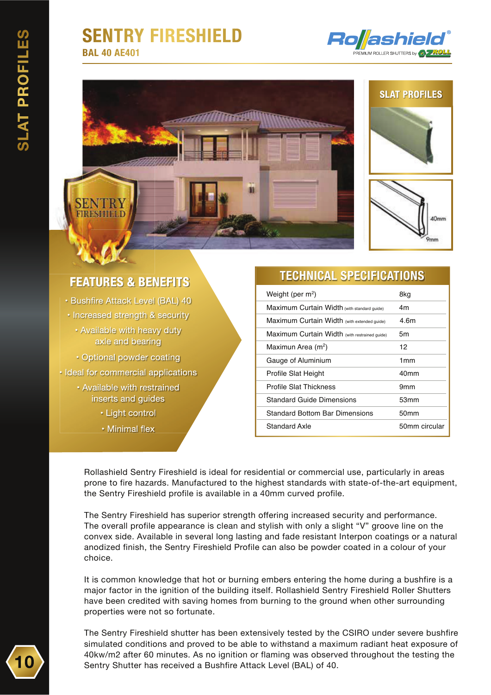# **SENTRY FIRESHIELD**

**BAL 40 AE401**









## **FEATURES & BENEFITS**

· Bushfire Attack Level (BAL) 40 • Increased strength & security • Available with heavy duty axle and bearing

· Optional powder coating • Ideal for commercial applications

- Available with restrained inserts and guides
	- Light control
	- Minimal flex

### **TECHNICAL SPECIFICATIONS**

| Weight (per m <sup>2</sup> )                  | 8kg              |
|-----------------------------------------------|------------------|
| Maximum Curtain Width (with standard quide)   | 4m               |
| Maximum Curtain Width (with extended guide)   | 4.6m             |
| Maximum Curtain Width (with restrained quide) | 5m               |
| Maximun Area (m <sup>2</sup> )                | 12               |
| Gauge of Aluminium                            | 1mm              |
| Profile Slat Height                           | 40 <sub>mm</sub> |
| Profile Slat Thickness                        | 9mm              |
| Standard Guide Dimensions                     | 53mm             |
| Standard Bottom Bar Dimensions                | 50mm             |
| Standard Axle                                 | 50mm circular    |

Rollashield Sentry Fireshield is ideal for residential or commercial use, particularly in areas prone to fire hazards. Manufactured to the highest standards with state-of-the-art equipment, the Sentry Fireshield profile is available in a 40mm curved profile.

The Sentry Fireshield has superior strength offering increased security and performance. The overall profile appearance is clean and stylish with only a slight "V" groove line on the convex side. Available in several long lasting and fade resistant Interpon coatings or a natural anodized finish, the Sentry Fireshield Profile can also be powder coated in a colour of your choice.

It is common knowledge that hot or burning embers entering the home during a bushfire is a major factor in the ignition of the building itself. Rollashield Sentry Fireshield Roller Shutters have been credited with saving homes from burning to the ground when other surrounding properties were not so fortunate.

The Sentry Fireshield shutter has been extensively tested by the CSIRO under severe bushfire simulated conditions and proved to be able to withstand a maximum radiant heat exposure of 40kw/m2 after 60 minutes. As no ignition or flaming was observed throughout the testing the Sentry Shutter has received a Bushfire Attack Level (BAL) of 40.